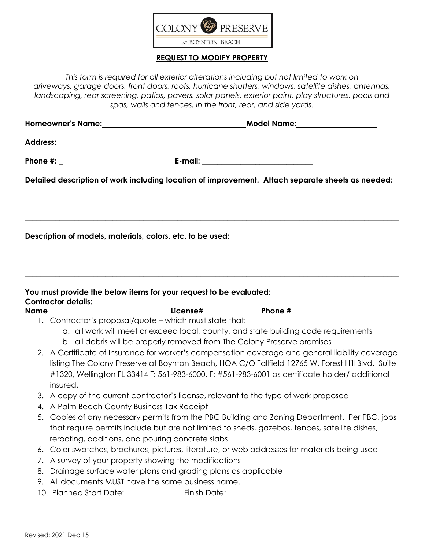

#### **REQUEST TO MODIFY PROPERTY**

*This form is required for all exterior alterations including but not limited to work on driveways, garage doors, front doors, roofs, hurricane shutters, windows, satellite dishes, antennas, landscaping, rear screening, patios, pavers. solar panels, exterior paint, play structures. pools and spas, walls and fences, in the front, rear, and side yards.*

|                                                                                               |                                                                                                                           | Detailed description of work including location of improvement. Attach separate sheets as needed:<br>,我们也不能在这里的人,我们也不能在这里的人,我们也不能在这里的人,我们也不能在这里的人,我们也不能在这里的人,我们也不能在这里的人,我们也不能在这里的人,我们也 |  |  |
|-----------------------------------------------------------------------------------------------|---------------------------------------------------------------------------------------------------------------------------|----------------------------------------------------------------------------------------------------------------------------------------------------------------------------------------|--|--|
|                                                                                               | Description of models, materials, colors, etc. to be used:                                                                |                                                                                                                                                                                        |  |  |
| <b>Contractor details:</b>                                                                    | You must provide the below items for your request to be evaluated:                                                        |                                                                                                                                                                                        |  |  |
|                                                                                               |                                                                                                                           |                                                                                                                                                                                        |  |  |
|                                                                                               | 1. Contractor's proposal/quote - which must state that:                                                                   |                                                                                                                                                                                        |  |  |
|                                                                                               |                                                                                                                           | a. all work will meet or exceed local, county, and state building code requirements<br>b. all debris will be properly removed from The Colony Preserve premises                        |  |  |
|                                                                                               |                                                                                                                           | 2. A Certificate of Insurance for worker's compensation coverage and general liability coverage                                                                                        |  |  |
|                                                                                               |                                                                                                                           | listing The Colony Preserve at Boynton Beach, HOA C/O Tallfield 12765 W. Forest Hill Blvd. Suite                                                                                       |  |  |
|                                                                                               |                                                                                                                           | #1320, Wellington FL 33414 T: 561-983-6000, F: #561-983-6001 as certificate holder/ additional                                                                                         |  |  |
| insured.                                                                                      |                                                                                                                           |                                                                                                                                                                                        |  |  |
|                                                                                               |                                                                                                                           | 3. A copy of the current contractor's license, relevant to the type of work proposed                                                                                                   |  |  |
| 4. A Palm Beach County Business Tax Receipt                                                   |                                                                                                                           |                                                                                                                                                                                        |  |  |
|                                                                                               |                                                                                                                           | 5. Copies of any necessary permits from the PBC Building and Zoning Department. Per PBC, jobs                                                                                          |  |  |
| that require permits include but are not limited to sheds, gazebos, fences, satellite dishes, |                                                                                                                           |                                                                                                                                                                                        |  |  |
|                                                                                               | reroofing, additions, and pouring concrete slabs.                                                                         |                                                                                                                                                                                        |  |  |
|                                                                                               |                                                                                                                           | 6. Color swatches, brochures, pictures, literature, or web addresses for materials being used                                                                                          |  |  |
|                                                                                               | 7. A survey of your property showing the modifications<br>8. Drainage surface water plans and grading plans as applicable |                                                                                                                                                                                        |  |  |
|                                                                                               | 9. All documents MUST have the same business name.                                                                        |                                                                                                                                                                                        |  |  |
|                                                                                               | 10. Planned Start Date: ________________ Finish Date: __________________________                                          |                                                                                                                                                                                        |  |  |
|                                                                                               |                                                                                                                           |                                                                                                                                                                                        |  |  |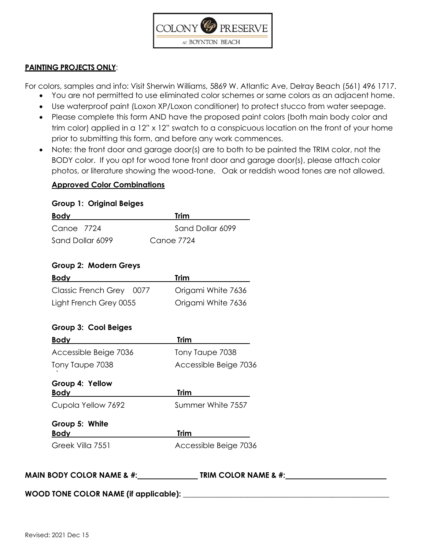

#### **PAINTING PROJECTS ONLY**:

For colors, samples and info: Visit Sherwin Williams, 5869 W. Atlantic Ave, Delray Beach (561) 496 1717.

- You are not permitted to use eliminated color schemes or same colors as an adjacent home.
- Use waterproof paint (Loxon XP/Loxon conditioner) to protect stucco from water seepage.
- Please complete this form AND have the proposed paint colors (both main body color and trim color) applied in a 12" x 12" swatch to a conspicuous location on the front of your home prior to submitting this form, and before any work commences.
- Note: the front door and garage door(s) are to both to be painted the TRIM color, not the BODY color. If you opt for wood tone front door and garage door(s), please attach color photos, or literature showing the wood-tone. Oak or reddish wood tones are not allowed.

#### **Approved Color Combinations**

## **Group 1: Original Beiges**

| <b>Body</b>              | <b>Trim</b>           |
|--------------------------|-----------------------|
| Canoe 7724               | Sand Dollar 6099      |
| Sand Dollar 6099         | Canoe 7724            |
|                          |                       |
| Group 2: Modern Greys    |                       |
| <b>Body</b>              | Trim                  |
| Classic French Grey 0077 | Origami White 7636    |
| Light French Grey 0055   | Origami White 7636    |
| Group 3: Cool Beiges     |                       |
| Body                     | <b>Trim</b>           |
| Accessible Beige 7036    | Tony Taupe 7038       |
| Tony Taupe 7038          | Accessible Beige 7036 |
| Group 4: Yellow          |                       |
| <b>Body</b>              | <b>Trim</b>           |
| Cupola Yellow 7692       | Summer White 7557     |
| Group 5: White           |                       |
| <b>Body</b>              | <b>Trim</b>           |
| Greek Villa 7551         | Accessible Beige 7036 |
|                          |                       |
|                          |                       |

**MAIN BODY COLOR NAME & #: TRIM COLOR NAME & #:**

**WOOD TONE COLOR NAME (if applicable):** \_\_\_\_\_\_\_\_\_\_\_\_\_\_\_\_\_\_\_\_\_\_\_\_\_\_\_\_\_\_\_\_\_\_\_\_\_\_\_\_\_\_\_\_\_\_\_\_\_\_\_\_\_\_